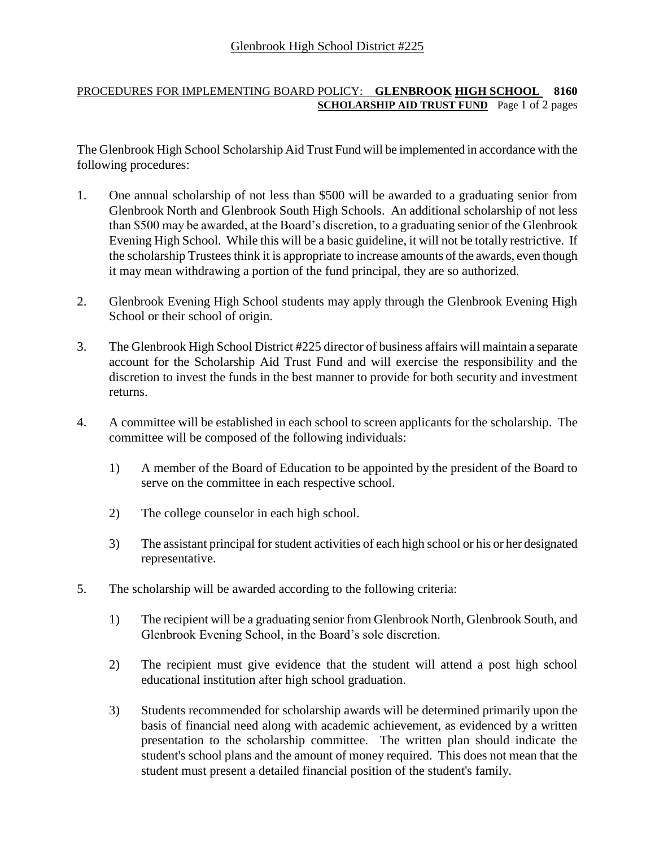## PROCEDURES FOR IMPLEMENTING BOARD POLICY: **GLENBROOK HIGH SCHOOL 8160 SCHOLARSHIP AID TRUST FUND** Page 1 of 2 pages

The Glenbrook High School Scholarship Aid Trust Fund will be implemented in accordance with the following procedures:

- 1. One annual scholarship of not less than \$500 will be awarded to a graduating senior from Glenbrook North and Glenbrook South High Schools. An additional scholarship of not less than \$500 may be awarded, at the Board's discretion, to a graduating senior of the Glenbrook Evening High School. While this will be a basic guideline, it will not be totally restrictive. If the scholarship Trustees think it is appropriate to increase amounts of the awards, even though it may mean withdrawing a portion of the fund principal, they are so authorized.
- 2. Glenbrook Evening High School students may apply through the Glenbrook Evening High School or their school of origin.
- 3. The Glenbrook High School District #225 director of business affairs will maintain a separate account for the Scholarship Aid Trust Fund and will exercise the responsibility and the discretion to invest the funds in the best manner to provide for both security and investment returns.
- 4. A committee will be established in each school to screen applicants for the scholarship. The committee will be composed of the following individuals:
	- 1) A member of the Board of Education to be appointed by the president of the Board to serve on the committee in each respective school.
	- 2) The college counselor in each high school.
	- 3) The assistant principal for student activities of each high school or his or her designated representative.
- 5. The scholarship will be awarded according to the following criteria:
	- 1) The recipient will be a graduating senior from Glenbrook North, Glenbrook South, and Glenbrook Evening School, in the Board's sole discretion.
	- 2) The recipient must give evidence that the student will attend a post high school educational institution after high school graduation.
	- 3) Students recommended for scholarship awards will be determined primarily upon the basis of financial need along with academic achievement, as evidenced by a written presentation to the scholarship committee. The written plan should indicate the student's school plans and the amount of money required. This does not mean that the student must present a detailed financial position of the student's family.